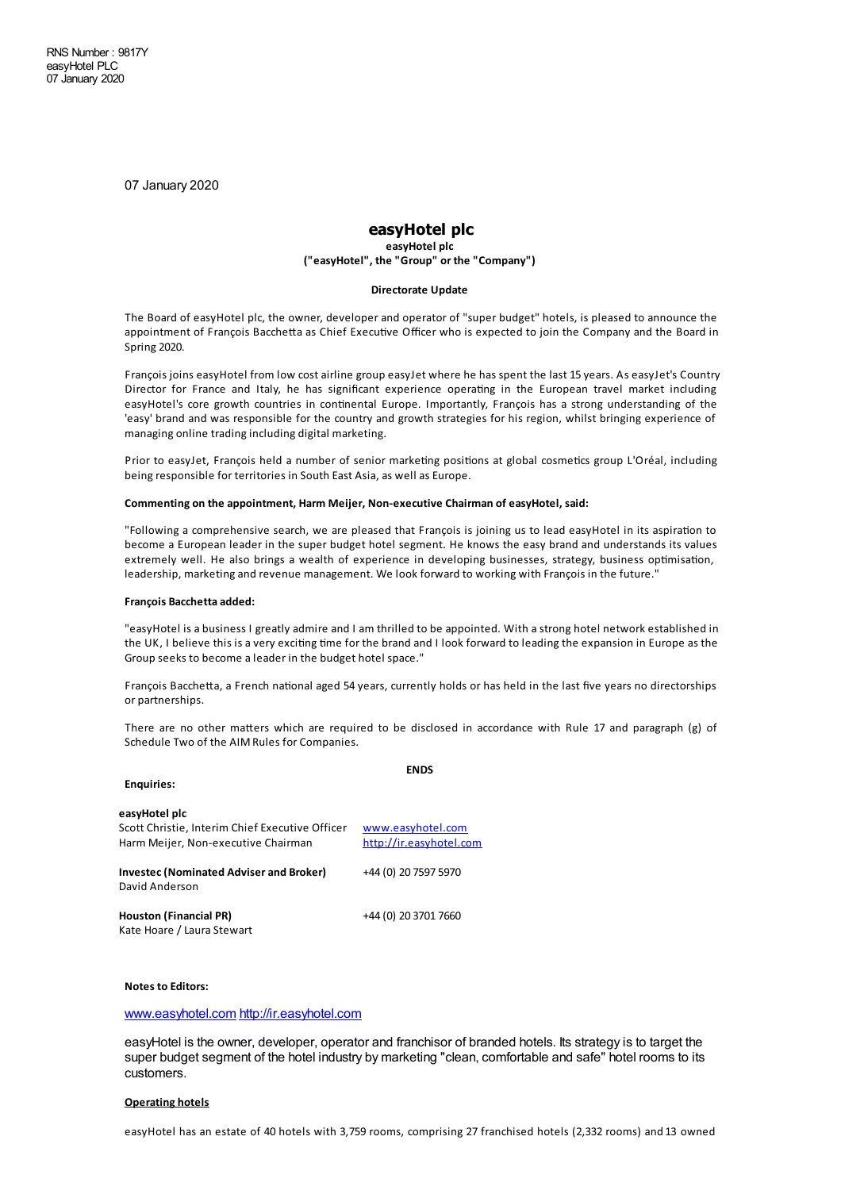07 January 2020

# **easyHotel plc**

**easyHotel plc ("easyHotel", the "Group" or the "Company")**

#### **Directorate Update**

The Board of easyHotel plc, the owner, developerand operator of "super budget" hotels, is pleased to announce the appointment of François Bacchetta as Chief Executive Officer who is expected to join the Company and the Board in Spring 2020.

François joins easyHotel from low costairline group easyJet where he has spent the last 15 years. As easyJet's Country Director for France and Italy, he has significant experience operating in the European travel market including easyHotel's core growth countries in continental Europe. Importantly, François has a strong understanding of the 'easy' brand and was responsible for the country and growth strategies for his region, whilst bringing experience of managing online trading including digital marketing.

Prior to easyJet, François held a number of senior marketing positions at global cosmetics group L'Oréal, including being responsible for territories in South East Asia, as well as Europe.

#### **Commenting on the appointment, Harm Meijer, Non-executive Chairman of easyHotel, said:**

"Following a comprehensive search, we are pleased that François is joining us to lead easyHotel in its aspiration to become a European leader in the super budget hotel segment. He knows the easy brand and understands its values extremely well. He also brings a wealth of experience in developing businesses, strategy, business optimisation, leadership, marketingand revenue management. We look forward to working with François in the future."

#### **François Bacchetta added:**

"easyHotel isa business I greatlyadmire and I am thrilled to be appointed. With astrong hotel network established in the UK, I believe this is a very exciting time for the brand and I look forward to leading the expansion in Europe as the Group seeks to become aleader in the budget hotel space."

François Bacchetta, a French national aged 54 years, currently holds or has held in the last five years no directorships or partnerships.

There are no other matters which are required to be disclosed in accordance with Rule 17 and paragraph (g) of Schedule Two of the AIM Rules for Companies.

| <b>Enquiries:</b>                                                                                       | <b>ENDS</b>                                  |
|---------------------------------------------------------------------------------------------------------|----------------------------------------------|
| easyHotel plc<br>Scott Christie, Interim Chief Executive Officer<br>Harm Meijer, Non-executive Chairman | www.easyhotel.com<br>http://ir.easyhotel.com |
| Investec (Nominated Adviser and Broker)<br>David Anderson                                               | +44 (0) 20 7597 5970                         |
| Houston (Financial PR)<br>Kate Hoare / Laura Stewart                                                    | +44 (0) 20 3701 7660                         |

#### **Notes to Editors:**

### [www.easyhotel.com](http://www.easyhotel.com) <http://ir.easyhotel.com>

easyHotel is the owner, developer, operator and franchisor of branded hotels. Its strategy is to target the super budget segment of the hotel industry by marketing "clean, comfortable and safe" hotel rooms to its customers.

#### **Operating hotels**

easyHotel has an estate of 40 hotels with 3,759 rooms, comprising 27 franchised hotels (2,332 rooms) and 13 owned